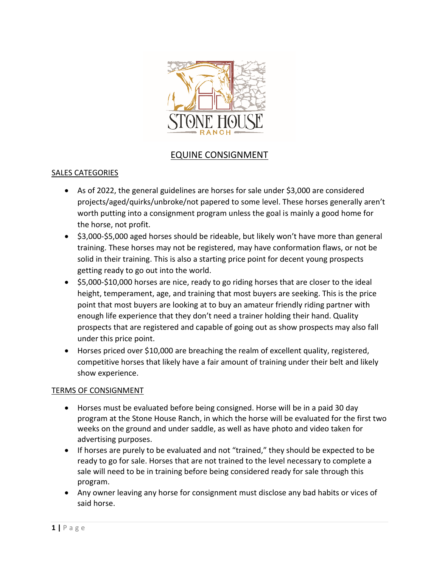

# EQUINE CONSIGNMENT

### SALES CATEGORIES

- As of 2022, the general guidelines are horses for sale under \$3,000 are considered projects/aged/quirks/unbroke/not papered to some level. These horses generally aren't worth putting into a consignment program unless the goal is mainly a good home for the horse, not profit.
- \$3,000-\$5,000 aged horses should be rideable, but likely won't have more than general training. These horses may not be registered, may have conformation flaws, or not be solid in their training. This is also a starting price point for decent young prospects getting ready to go out into the world.
- \$5,000-\$10,000 horses are nice, ready to go riding horses that are closer to the ideal height, temperament, age, and training that most buyers are seeking. This is the price point that most buyers are looking at to buy an amateur friendly riding partner with enough life experience that they don't need a trainer holding their hand. Quality prospects that are registered and capable of going out as show prospects may also fall under this price point.
- Horses priced over \$10,000 are breaching the realm of excellent quality, registered, competitive horses that likely have a fair amount of training under their belt and likely show experience.

#### TERMS OF CONSIGNMENT

- Horses must be evaluated before being consigned. Horse will be in a paid 30 day program at the Stone House Ranch, in which the horse will be evaluated for the first two weeks on the ground and under saddle, as well as have photo and video taken for advertising purposes.
- If horses are purely to be evaluated and not "trained," they should be expected to be ready to go for sale. Horses that are not trained to the level necessary to complete a sale will need to be in training before being considered ready for sale through this program.
- Any owner leaving any horse for consignment must disclose any bad habits or vices of said horse.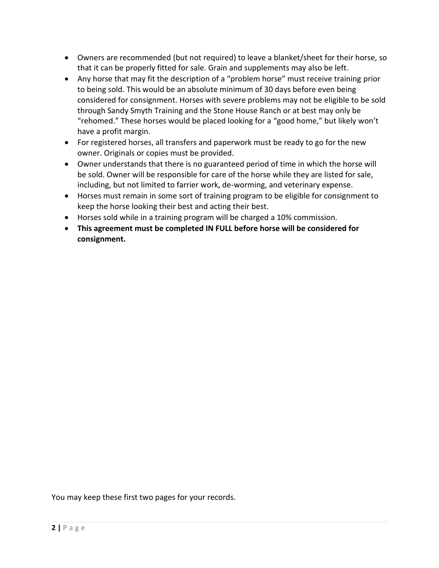- Owners are recommended (but not required) to leave a blanket/sheet for their horse, so that it can be properly fitted for sale. Grain and supplements may also be left.
- Any horse that may fit the description of a "problem horse" must receive training prior to being sold. This would be an absolute minimum of 30 days before even being considered for consignment. Horses with severe problems may not be eligible to be sold through Sandy Smyth Training and the Stone House Ranch or at best may only be "rehomed." These horses would be placed looking for a "good home," but likely won't have a profit margin.
- For registered horses, all transfers and paperwork must be ready to go for the new owner. Originals or copies must be provided.
- Owner understands that there is no guaranteed period of time in which the horse will be sold. Owner will be responsible for care of the horse while they are listed for sale, including, but not limited to farrier work, de-worming, and veterinary expense.
- Horses must remain in some sort of training program to be eligible for consignment to keep the horse looking their best and acting their best.
- Horses sold while in a training program will be charged a 10% commission.
- **This agreement must be completed IN FULL before horse will be considered for consignment.**

You may keep these first two pages for your records.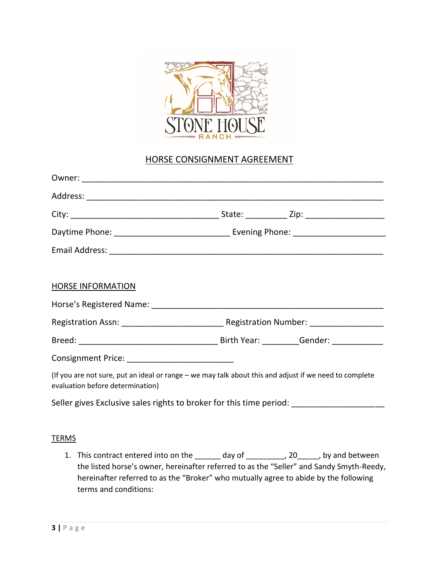

## HORSE CONSIGNMENT AGREEMENT

| <b>HORSE INFORMATION</b>                                                                                                                   |  |  |
|--------------------------------------------------------------------------------------------------------------------------------------------|--|--|
|                                                                                                                                            |  |  |
|                                                                                                                                            |  |  |
|                                                                                                                                            |  |  |
| Consignment Price: _______________________________                                                                                         |  |  |
| (If you are not sure, put an ideal or range - we may talk about this and adjust if we need to complete<br>evaluation before determination) |  |  |
| Seller gives Exclusive sales rights to broker for this time period: ___________________                                                    |  |  |
|                                                                                                                                            |  |  |
| <b>TERMS</b>                                                                                                                               |  |  |

1. This contract entered into on the \_\_\_\_\_\_ day of \_\_\_\_\_\_\_\_, 20\_\_\_\_\_, by and between the listed horse's owner, hereinafter referred to as the "Seller" and Sandy Smyth-Reedy, hereinafter referred to as the "Broker" who mutually agree to abide by the following terms and conditions: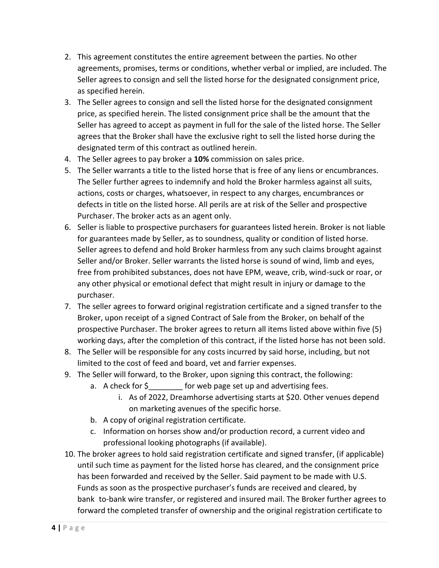- 2. This agreement constitutes the entire agreement between the parties. No other agreements, promises, terms or conditions, whether verbal or implied, are included. The Seller agrees to consign and sell the listed horse for the designated consignment price, as specified herein.
- 3. The Seller agrees to consign and sell the listed horse for the designated consignment price, as specified herein. The listed consignment price shall be the amount that the Seller has agreed to accept as payment in full for the sale of the listed horse. The Seller agrees that the Broker shall have the exclusive right to sell the listed horse during the designated term of this contract as outlined herein.
- 4. The Seller agrees to pay broker a **10%** commission on sales price.
- 5. The Seller warrants a title to the listed horse that is free of any liens or encumbrances. The Seller further agrees to indemnify and hold the Broker harmless against all suits, actions, costs or charges, whatsoever, in respect to any charges, encumbrances or defects in title on the listed horse. All perils are at risk of the Seller and prospective Purchaser. The broker acts as an agent only.
- 6. Seller is liable to prospective purchasers for guarantees listed herein. Broker is not liable for guarantees made by Seller, as to soundness, quality or condition of listed horse. Seller agrees to defend and hold Broker harmless from any such claims brought against Seller and/or Broker. Seller warrants the listed horse is sound of wind, limb and eyes, free from prohibited substances, does not have EPM, weave, crib, wind-suck or roar, or any other physical or emotional defect that might result in injury or damage to the purchaser.
- 7. The seller agrees to forward original registration certificate and a signed transfer to the Broker, upon receipt of a signed Contract of Sale from the Broker, on behalf of the prospective Purchaser. The broker agrees to return all items listed above within five (5) working days, after the completion of this contract, if the listed horse has not been sold.
- 8. The Seller will be responsible for any costs incurred by said horse, including, but not limited to the cost of feed and board, vet and farrier expenses.
- 9. The Seller will forward, to the Broker, upon signing this contract, the following:
	- a. A check for  $\frac{2}{5}$  for web page set up and advertising fees.
		- i. As of 2022, Dreamhorse advertising starts at \$20. Other venues depend on marketing avenues of the specific horse.
	- b. A copy of original registration certificate.
	- c. Information on horses show and/or production record, a current video and professional looking photographs (if available).
- 10. The broker agrees to hold said registration certificate and signed transfer, (if applicable) until such time as payment for the listed horse has cleared, and the consignment price has been forwarded and received by the Seller. Said payment to be made with U.S. Funds as soon as the prospective purchaser's funds are received and cleared, by bank to-bank wire transfer, or registered and insured mail. The Broker further agrees to forward the completed transfer of ownership and the original registration certificate to